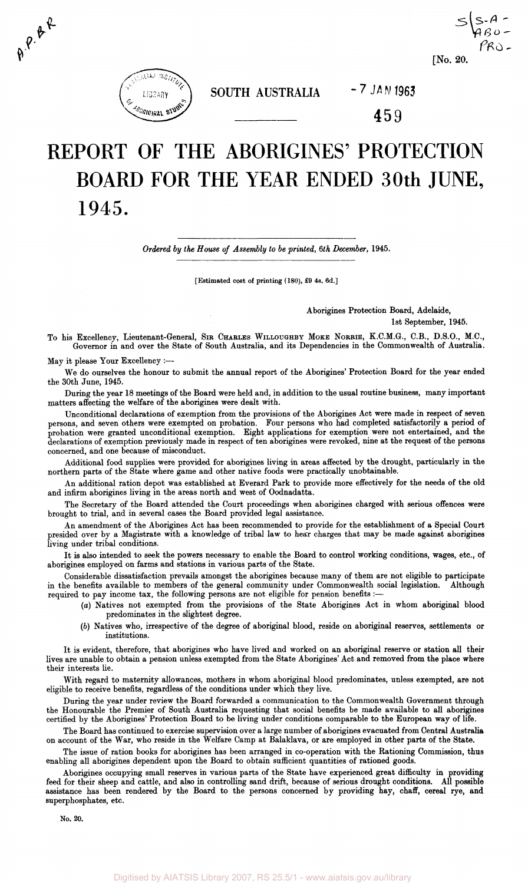

 $\boldsymbol{\theta}^{\boldsymbol{\varphi},\boldsymbol{\theta}^{\boldsymbol{\varphi}}\boldsymbol{\varphi}}$ 

**SOUTH AUSTRALIA** *-7 JAN* **1963** 

459

# REPORT OF THE ABORIGINES' PROTECTION BOARD FOR THE YEAR ENDED 30th JUNE, 1945.

*Ordered by the House of Assembly to be printed, 6th December,* 1945.

[Estimated cost of printing (180), £9 4s. 6d.]

Aborigines Protection Board, Adelaide,

1st September, 1945.

-

**[No. 20.** 

To his Excellency, Lieutenant-General, SIR CHARLES WILLOUGHBY MOKE NORRIE, K.C.M.G., C.B., D.S.O., M.C., Governor in and over the State of South Australia, and its Dependencies in the Commonwealth of Australia.

May it please Your Excellency :—

We do ourselves the honour to submit the annual report of the Aborigines' Protection Board for the year ended the 30th June, 1945.

During the year 18 meetings of the Board were held and, in addition to the usual routine business, many important matters affecting the welfare of the aborigines were dealt with.

Unconditional declarations of exemption from the provisions of the Aborigines Act were made in respect of seven persons, and seven others were exempted on probation. Four persons who had completed satisfactorily a period of probation were granted unconditional exemption. Eight applications for exemption were not entertained, and the declarations of exemption previously made in respect of ten aborigines were revoked, nine at the request of the persons concerned, and one because of misconduct.

Additional food supplies were provided for aborigines living in areas affected by the drought, particularly in the northern parts of the State where game and other native foods were practically unobtainable.

An additional ration depot was established at Everard Park to provide more effectively for the needs of the old and infirm aborigines living in the areas north and west of Oodnadatta.

The Secretary of the Board attended the Court proceedings when aborigines charged with serious offences were brought to trial, and in several cases the Board provided legal assistance.

An amendment of the Aborigines Act has been recommended to provide for the establishment of a Special Court presided over by a Magistrate with a knowledge of tribal law to hear charges that may be made against aborigines living under tribal conditions.

It is also intended to seek the powers necessary to enable the Board to control working conditions, wages, etc., of aborigines employed on farms and stations in various parts of the State.

Considerable dissatisfaction prevails amongst the aborigines because many of them are not eligible to participate in the benefits available to members of the general community under Commonwealth social legislation. Although required to pay income tax, the following persons are not eligible for pension benefits :—

- (a) Natives not exempted from the provisions of the State Aborigines Act in whom aboriginal blood predominates in the slightest degree.
- (6) Natives who, irrespective of the degree of aboriginal blood, reside on aboriginal reserves, settlements or institutions.

It is evident, therefore, that aborigines who have lived and worked on an aboriginal reserve or station all their lives are unable to obtain a pension unless exempted from the State Aborigines' Act and removed from the place where their interests lie.

With regard to maternity allowances, mothers in whom aboriginal blood predominates, unless exempted, are not eligible to receive benefits, regardless of the conditions under which they live.

During the year under review the Board forwarded a communication to the Commonwealth Government through the Honourable the Premier of South Australia requesting that social benefits be made available to all aborigines certified by the Aborigines' Protection Board to be living under conditions comparable to the European way of life.

The Board has continued to exercise supervision over a large number of aborigines evacuated from Central Australia on account of the War, who reside in the Welfare Camp at Balaklava, or are employed in other parts of the State.

The issue of ration books for aborigines has been arranged in co-operation with the Rationing Commission, thus enabling all aborigines dependent upon the Board to obtain sufficient quantities of rationed goods.

Aborigines occupying small reserves in various parts of the State have experienced great difficulty in providing feed for their sheep and cattle, and also in controlling sand drift, because of serious drought conditions. All possible assistance has been rendered by the Board to the persons concerned by providing hay, chaff, cereal rye, and superphosphates, etc.

No. 20.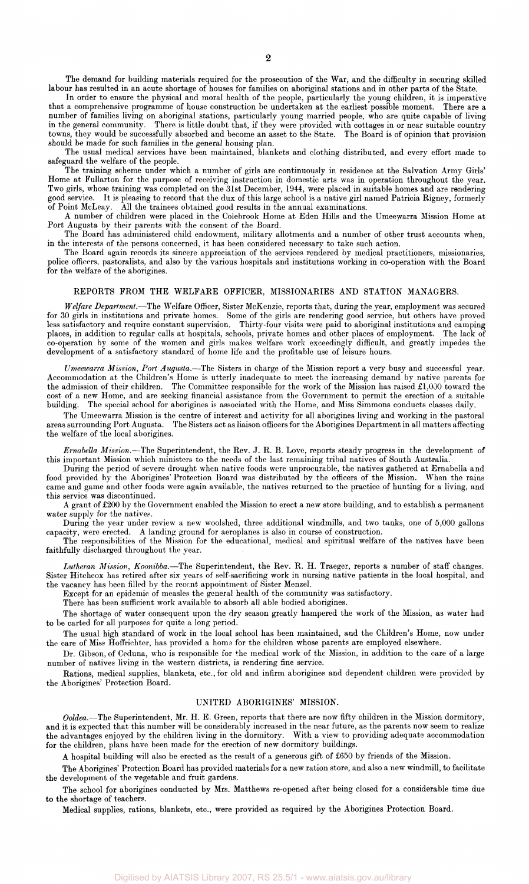The demand for building materials required for the prosecution of the War, and the difficulty in securing skilled labour has resulted in an acute shortage of houses for families on aboriginal stations and in other parts of the State.

In order to ensure the physical and moral health of the people, particularly the young children, it is imperative that a comprehensive programme of house construction be undertaken at the earliest possible moment. There are a number of families living on aboriginal stations, particularly young married people, who are quite capable of living in the general community. There is little doubt that, if they were provided with cottages in or near suitable country towns, they would be successfully absorbed and become an asset to the State. The Board is of opinion that provision should be made for such families in the general housing plan.

The usual medical services have been maintained, blankets and clothing distributed, and every effort made to safeguard the welfare of the people.

The training scheme under which a number of girls are continuously in residence at the Salvation Army Girls' Home at Fullarton for the purpose of receiving instruction in domestic arts was in operation throughout the year. Two girls, whose training was completed on the 31st December, 1944, were placed in suitable homes and are rendering good service. It is pleasing to record that the dux of this large school is a native girl named Patricia Rigney, formerly<br>of Point McLeav. All the trainees obtained good results in the annual examinations. All the trainees obtained good results in the annual examinations.

A number of children were placed in the Colebrook Home at Eden Hills and the Umeewarra Mission Home at Port Augusta by their parents with the consent of the Board.

The Board has administered child endowment, military allotments and a number of other trust accounts when, in the interests of the persons concerned, it has been considered necessary to take such action.

The Board again records its sincere appreciation of the services rendered by medical practitioners, missionaries, police officers, pastoralists, and also by the various hospitals and institutions working in co-operation with the Board for the welfare of the aborigines.

## REPORTS FROM THE WELFARE OFFICER, MISSIONARIES AND STATION MANAGERS.

*Welfare Department.*—The Welfare Officer, Sister McKenzie, reports that, during the year, employment was secured for 30 girls in institutions and private homes. Some of the girls are rendering good service, but others have proved less satisfactory and require constant supervision. Thirty-four visits were paid to aboriginal institutions and camping places, in addition to regular calls at hospitals, schools, private homes and other places of employment. The lack of co-operation by some of the women and girls makes welfare work exceedingly difficult, and greatly impedes the development of a satisfactory standard of home life and the profitable use of leisure hours.

*Umeewarra Mission, Port Augusta.*—-The Sisters in charge of the Mission report a very busy and successful year. Accommodation at the Children's Home is utterly inadequate to meet the increasing demand by native parents for the admission of their children. The Committee responsible for the work of the Mission has raised £1,000 toward the cost of a new Home, and are seeking financial assistance from the Government to permit the erection of a suitable building. The special school for aborigines is associated with the Home, and Miss Simmons conducts classes daily.

The Umeewarra Mission is the centre of interest and activity for all aborigines living and working in the pastoral areas surrounding Port Augusta. The Sisters act as liaison officers for the Aborigines Department in all matters affecting the welfare of the local aborigines.

*Ernabella Mission.*—The Superintendent, the Rev. J. R. B. Love, reports steady progress in the development of this important Mission which ministers to the needs of the last remaining tribal natives of South Australia.

During the period of severe drought when native foods were unprocurable, the natives gathered at Ernabella and food provided by the Aborigines' Protection Board was distributed by the officers of the Mission. When the rains came and game and other foods were again available, the natives returned to the practice of hunting for a living, and this service was discontinued.

A grant of £200 by the Government enabled the Mission to erect a new store building, and to establish a permanent water supply for the natives.

During the year under review a new woolshed, three additional windmills, and two tanks, one of 5,000 gallons capacity, were erected. A landing ground for aeroplanes is also in course of construction.

The responsibilities of the Mission for the educational, medical and spiritual welfare of the natives have been faithfully discharged throughout the year.

*Lutheran Mission, Koonibba.*—The Superintendent, the Rev. R. H. Traeger, reports a number of staff changes. Sister Hitchcox has retired after six years of self-sacrificing work in nursing native patients in the local hospital, and the vacancy has been filled by the recent appointment of Sister Menzel.

Except for an epidemic of measles the general health of the community was satisfactory.

There has been sufficient work available to absorb all able bodied aborigines.

The shortage of water consequent upon the dry season greatly hampered the work of the Mission, as water had to be carted for all purposes for quite a long period.

The usual high standard of work in the local school has been maintained, and the Children's Home, now under the care of Miss Hoffrichter, has provided a horns for the children whose parents are employed elsewhere.

Dr. Gibson, of Ceduna, who is responsible for the medical work of the Mission, in addition to the care of a large number of natives living in the western districts, is rendering fine service.

Rations, medical supplies, blankets, etc., for old and infirm aborigines and dependent children were provided by the Aborigines' Protection Board.

## UNITED ABORIGINES' MISSION.

*Ooldea.*—The Superintendent, Mr. H. E. Green, reports that there are now fifty children in the Mission dormitory, and it is expected that this number will be considerably increased in the near future, as the parents now seem to realize the advantages enjoyed by the children living in the dormitory. With a view to providing adequate accommodation for the children, plans have been made for the erection of new dormitory buildings.

A hospital building will also be erected as the result of a generous gift of £650 by friends of the Mission.

The Aborigines' Protection Board has provided materials for a new ration store, and also a new windmill, to facilitate the development of the vegetable and fruit gardens.

The school for aborigines conducted by Mrs. Matthews re-opened after being closed for a considerable time due to the shortage of teachers.

Medical supplies, rations, blankets, etc., were provided as required by the Aborigines Protection Board.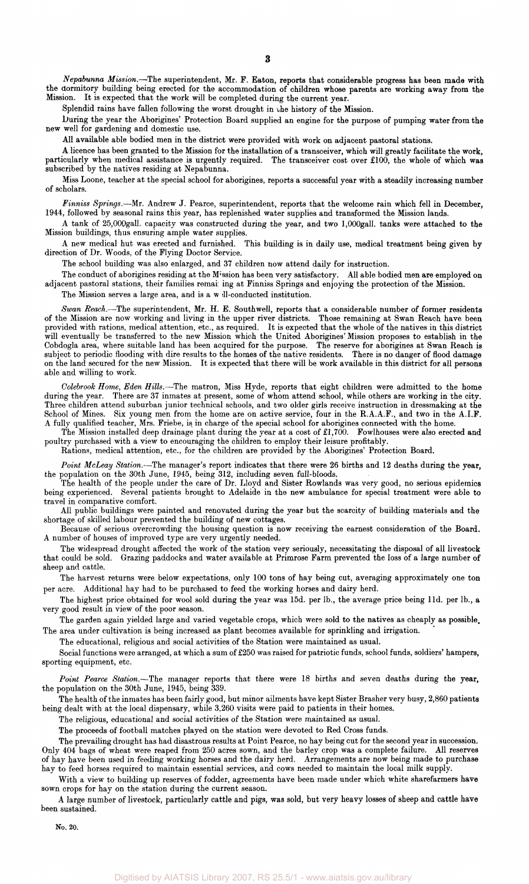*Nepabunna Mission.*—The superintendent, Mr. F. Eaton, reports that considerable progress has been made with the dormitory building being erected for the accommodation of children whose parents are working away from the Mission. It is expected that the work will be completed during the current year.

Splendid rains have fallen following the worst drought in the history of the Mission.

During the year the Aborigines' Protection Board supplied an engine for the purpose of pumping water from the new well for gardening and domestic use.

All available able bodied men in the district were provided with work on adjacent pastoral stations.

A licence has been granted to the Mission for the installation of a transceiver, which will greatly facilitate the work, particularly when medical assistance is urgently required. The transceiver cost over £100, the whole of which was subscribed by the natives residing at Nepabunna.

Miss Loone, teacher at the special school for aborigines, reports a successful year with a steadily increasing number of scholars.

*Finniss Springs.*—Mr. Andrew J. Pearce, superintendent, reports that the welcome rain which fell in December, 1944, followed by seasonal rains this year, has replenished water supplies and transformed the Mission lands.

A tank of 25,000gall. capacity was constructed during the year, and two l,000gall. tanks were attached to the Mission buildings, thus ensuring ample water supplies.

A new medical hut was erected and furnished. This building is in daily use, medical treatment being given by direction of Dr. Woods, of the Flying Doctor Service.

The school building was also enlarged, and 37 children now attend daily for instruction.

The conduct of aborigines residing at the Mission has been very satisfactory. All able bodied men are employed on adjacent pastoral stations, their families remain ing at Finniss Springs and enjoying the protection of the Mission.

The Mission serves a large area, and is a w ill-conducted institution.

*Swan Reach.*—The superintendent, Mr. H. E. Southwell, reports that a considerable number of former residents of the Mission are now working and living in the upper river districts. Those remaining at Swan Reach have been provided with rations, medical attention, etc., as required. It is expected that the whole of the natives in this district will eventually be transferred to the new Mission which the United Aborigines' Mission proposes to establish in the Cobdogla area, where suitable land has been acquired for the purpose. The reserve for aborigines at Swan Reach is subject to periodic flooding with dire results to the homes of the native residents. There is no danger of flood damage on the land secured for the new Mission. It is expected that there will be work available in this district for all persons able and willing to work.

*Colebrook Home, Eden Hills.*—The matron, Miss Hyde, reports that eight children were admitted to the home during the year. There are 37 inmates at present, some of whom attend school, while others are working in the city. Three children attend suburban junior technical schools, and two older girls receive instruction in dressmaking at the School of Mines. Six young men from the home are on active service, four in the R.A.A.F., and two in the A.I.F. A fully qualified teacher, Mrs. Friebe, is in charge of the special school for aborigines connected with the home.

The Mission installed deep drainage plant during the year at a cost of £1,700. Fowlhouses were also erected and poultry purchased with a view to encouraging the children to employ their leisure profitably.

Rations, medical attention, etc., for the children are provided by the Aborigines' Protection Board.

*Point McLeay Station.*—The manager's report indicates that there were 26 births and 12 deaths during the year, the population on the 30th June, 1945, being 312, including seven full-bloods.

The health of the people under the care of Dr. Lloyd and Sister Rowlands was very good, no serious epidemics being experienced. Several patients brought to Adelaide in the new ambulance for special treatment were able to travel in comparative comfort.

All public buildings were painted and renovated during the year but the scarcity of building materials and the shortage of skilled labour prevented the building of new cottages.

Because of serious overcrowding the housing question is now receiving the earnest consideration of the Board. A number of houses of improved type are very urgently needed.

The widespread drought affected the work of the station very seriously, necessitating the disposal of all livestock that could be sold. Grazing paddocks and water available at Primrose Farm prevented the loss of a large number of sheep and cattle.

The harvest returns were below expectations, only 100 tons of hay being cut, averaging approximately one ton per acre. Additional hay had to be purchased to feed the working horses and dairy herd.

The highest price obtained for wool sold during the year was 15d. per lb., the average price being l1d. per lb., a very good result in view of the poor season.

The garden again yielded large and varied vegetable crops, which were sold to the natives as cheaply as possible. The area under cultivation is being increased as plant becomes available for sprinkling and irrigation.

The educational, religious and social activities of the Station were maintained as usual.

Social functions were arranged, at which a sum of £250 was raised for patriotic funds, school funds, soldiers' hampers, sporting equipment, etc.

*Point Pearce Station.*—The manager reports that there were 18 births and seven deaths during the year, the population on the 30th June, 1945, being 339.

The health of the inmates has been fairly good, but minor ailments have kept Sister Brasher very busy, 2,860 patients being dealt with at the local dispensary, while 3,260 visits were paid to patients in their homes.

The religious, educational and social activities of the Station were maintained as usual.

The proceeds of football matches played on the station were devoted to Red Cross funds.

The prevailing drought has had disastrous results at Point Pearce, no hay being cut for the second year in succession. Only 404 bags of wheat were reaped from 250 acres sown, and the barley crop was a complete failure. All reserves of hay have been used in feeding working horses and the dairy herd. Arrangements are now being made to purchase hay to feed horses required to maintain essential services, and cows needed to maintain the local milk supply.

With a view to building up reserves of fodder, agreements have been made under which white sharefarmers have sown crops for hay on the station during the current season.

A large number of livestock, particularly cattle and pigs, was sold, but very heavy losses of sheep and cattle have been sustained.

**No. 20.**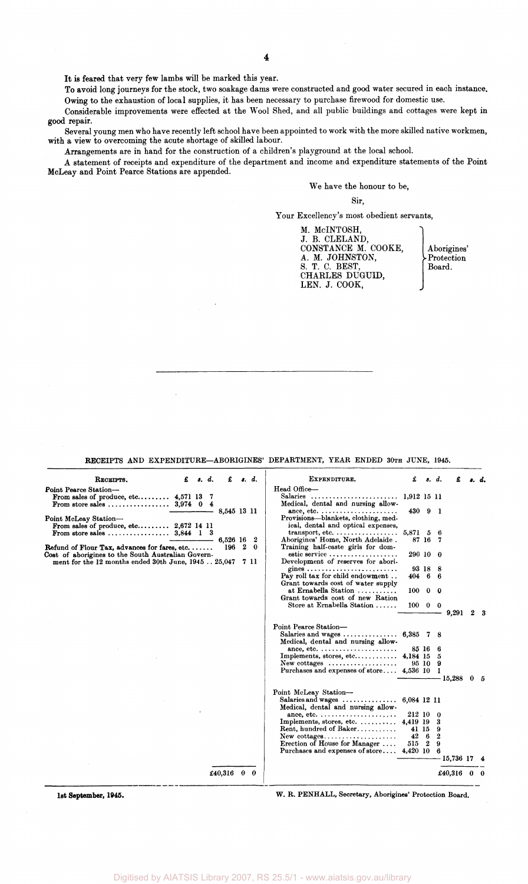It is feared that very few lambs will be marked this year.

To avoid long journeys for the stock, two soakage dams were constructed and good water secured in each instance. Owing to the exhaustion of local supplies, it has been necessary to purchase firewood for domestic use.

Considerable improvements were effected at the Wool Shed, and all public buildings and cottages were kept in good repair.

Several young men who have recently left school have been appointed to work with the more skilled native workmen, with a view to overcoming the acute shortage of skilled labour.

Arrangements are in hand for the construction of a children's playground at the local school.

A statement of receipts and expenditure of the department and income and expenditure statements of the Point McLeay and Point Pearce Stations are appended.

# We have the honour to be,

#### Sir,

Your Excellency's most obedient servants,

M. McINTOSH, J. B. CLELAND, CONSTANCE M. COOKE, | Aborigines' A. M. JOHNSTON, >Protection S. T. C. BEST,  $\qquad \qquad \qquad$  Board. CHARLES DUGULD, LEN. J. COOK,

RECEIPTS AND EXPENDITURE-ABORIGINES' DEPARTMENT, YEAR ENDED 30TH JUNE, 1945.

| RECEIPTS.                                                                                                  | £ | $\epsilon$ , $d$ . | £               | s. d.     | EXPENDITURE.                                                                                                                            | £                    |            | s. d.                 |               | ı. d.       |
|------------------------------------------------------------------------------------------------------------|---|--------------------|-----------------|-----------|-----------------------------------------------------------------------------------------------------------------------------------------|----------------------|------------|-----------------------|---------------|-------------|
| Point Pearce Station-<br>From sales of produce, etc $4,571$ 13<br>From store sales $3.974 \quad 0 \quad 4$ |   | - 7                |                 |           | Head Office-<br>Salaries<br>Medical, dental and nursing allow-                                                                          | 1,912 15 11          |            |                       |               |             |
| Point McLeay Station-<br>From sales of produce, etc $2,672$ 14 11                                          |   |                    | 8,545 13 11     |           | ance, etc. $\dots\dots\dots\dots\dots\dots\dots\dots\dots$<br>Provisions—blankets, clothing, med-<br>ical, dental and optical expenses, | 430 9 1              |            |                       |               |             |
| From store sales $3,844$ 1 3                                                                               |   |                    |                 |           | $transport, etc. \ldots \ldots \ldots \ldots \ldots$                                                                                    | 5,871 5 6            |            |                       |               |             |
| Refund of Flour Tax, advances for fares, etc. $\dots$ .                                                    |   |                    | 6.526 16<br>196 | - 2<br>20 | Aborigines' Home, North Adelaide.<br>Training half-caste girls for dom-                                                                 |                      | 87 16 7    |                       |               |             |
| Cost of aborigines to the South Australian Govern-<br>ment for the 12 months ended 30th June, 1945 25,047  |   |                    |                 | 7 11      | estic service<br>Development of reserves for abori-                                                                                     | 290 10 0             |            |                       |               |             |
|                                                                                                            |   |                    |                 |           | gines                                                                                                                                   |                      | 93 18 8    |                       |               |             |
|                                                                                                            |   |                    |                 |           | Pay roll tax for child endowment<br>Grant towards cost of water supply                                                                  | 40466                |            |                       |               |             |
|                                                                                                            |   |                    |                 |           | at Ernabella Station<br>Grant towards cost of new Ration                                                                                | 100                  | $0\quad 0$ |                       |               |             |
|                                                                                                            |   |                    |                 |           | Store at Ernabella Station                                                                                                              | $100 \t 0 \t 0$      |            |                       | 9,291         | $2 \quad 3$ |
|                                                                                                            |   |                    |                 |           | Point Pearce Station-<br>Salaries and wages $6,385$ 7 8<br>Medical, dental and nursing allow-                                           |                      |            |                       |               |             |
|                                                                                                            |   |                    |                 |           | ance, etc. $\dots\dots\dots\dots\dots\dots\dots\dots\dots$                                                                              |                      | 85 16 6    |                       |               |             |
|                                                                                                            |   |                    |                 |           |                                                                                                                                         |                      |            |                       |               |             |
|                                                                                                            |   |                    |                 |           | New cottages $\dots\dots\dots\dots\dots\dots$                                                                                           |                      | 95109      |                       |               |             |
|                                                                                                            |   |                    |                 |           | Purchases and expenses of store 4,536 10 1                                                                                              |                      |            |                       | - 15,288      | 05          |
|                                                                                                            |   |                    |                 |           | Point McLeay Station-                                                                                                                   |                      |            |                       |               |             |
|                                                                                                            |   |                    |                 |           | Salaries and wages $\ldots \ldots \ldots \ldots 6,084$ 12 11<br>Medical, dental and nursing allow-                                      |                      |            |                       |               |             |
|                                                                                                            |   |                    |                 |           | ance, etc. $\dots\dots\dots\dots\dots\dots\dots\dots\dots$                                                                              | 212 10               |            | -0                    |               |             |
|                                                                                                            |   |                    |                 |           | Implements, stores, etc. $\dots \dots \dots$ 4,419 19<br>Rent, hundred of Baker                                                         |                      |            | 3                     |               |             |
|                                                                                                            |   |                    |                 |           | $New \text{ cottages.} \ldots \ldots \ldots \ldots \ldots$                                                                              | 41 15<br>$42\quad 6$ |            | 9<br>$\boldsymbol{2}$ |               |             |
|                                                                                                            |   |                    |                 |           | Erection of House for Manager                                                                                                           | 515 2                |            | 9                     |               |             |
|                                                                                                            |   |                    |                 |           | Purchases and expenses of store                                                                                                         | 4,420 10             |            | 6                     |               |             |
|                                                                                                            |   |                    |                 |           |                                                                                                                                         |                      |            |                       | 15,736 17 4   |             |
|                                                                                                            |   |                    | £40,316 $0$ 0   |           |                                                                                                                                         |                      |            |                       | £40,316 $0$ 0 |             |
|                                                                                                            |   |                    |                 |           |                                                                                                                                         |                      |            |                       |               |             |

**1st September, 1946.** W. R. PENHALL, Secretary, Aborigines' Protection Board.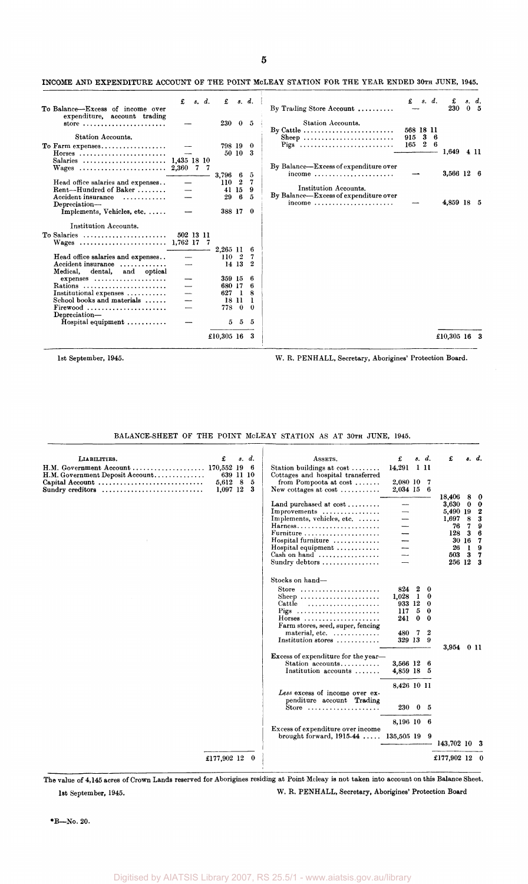| š<br>۱ |  |
|--------|--|
|        |  |

## INCOME AND EXPENDITURE ACCOUNT OF THE POINT MCLEAY STATION FOR THE YEAR ENDED 30TH JUNE, 1945.

| To Balance—Excess of income over                                                                                       | £         | s. d. | £                       |                  | s. d.                      | By Trading Store Account $\dots\dots\dots$                                                                                  | £                  | s. d.            |     | £<br>230     | s. d.<br>0 <sub>5</sub> |
|------------------------------------------------------------------------------------------------------------------------|-----------|-------|-------------------------|------------------|----------------------------|-----------------------------------------------------------------------------------------------------------------------------|--------------------|------------------|-----|--------------|-------------------------|
| expenditure, account trading<br>store<br>Station Accounts.                                                             |           |       | 230                     |                  | 0 <sub>5</sub>             | Station Accounts.<br>By Cattle $\dots \dots \dots \dots \dots \dots \dots \dots$<br>Sheep                                   | 568 18 11<br>915 3 |                  | - 6 |              |                         |
| To Farm expenses<br>$H$ orses<br>Salaries  1,435 18 10                                                                 |           |       | 798 19                  | 50 10            | $\mathbf 0$<br>-3          | Pigs                                                                                                                        | 165                | $\boldsymbol{2}$ | -6  | 1,649        | 4 11                    |
| Head office salaries and expenses                                                                                      |           | 77    | 3,796 6<br>110          | $\boldsymbol{2}$ | 5<br>7                     | By Balance—Excess of expenditure over<br>income $\ldots \ldots \ldots \ldots \ldots \ldots \ldots$<br>Institution Accounts. |                    |                  |     | 3,566 12 6   |                         |
| Rent-Hundred of Baker<br>Accident insurance<br>.<br>Depreciation-<br>Implements, Vehicles, etc.                        |           |       | 41<br>29<br>388 17 0    | 15<br>6          | 9<br>$\overline{5}$        | By Balance—Excess of expenditure over<br>income                                                                             |                    |                  |     | 4,859 18 5   |                         |
| Institution Accounts.<br>To Salaries                                                                                   | 502 13 11 |       |                         |                  |                            |                                                                                                                             |                    |                  |     |              |                         |
| Head office salaries and expenses<br>Accident insurance<br>Medical.<br>dental, and optical                             |           |       | 2,265 11<br>110 2       | 14 13            | 6<br>7<br>$\boldsymbol{2}$ |                                                                                                                             |                    |                  |     |              |                         |
| $express \dots \dots \dots \dots \dots \dots \dots$<br>Rations<br>Institutional expenses<br>School books and materials |           |       | 359 15<br>680 17<br>627 | - 1<br>18 11     | 6<br>6<br>8<br>-1          |                                                                                                                             |                    |                  |     |              |                         |
| $Firewood$<br>Depreciation-<br>Hospital equipment $\dots\dots\dots$                                                    |           |       | 778<br>5                | $\theta$<br>5    | $\theta$<br>5              |                                                                                                                             |                    |                  |     |              |                         |
|                                                                                                                        |           |       | £10,305 16 3            |                  |                            |                                                                                                                             |                    |                  |     | £10,305 16 3 |                         |

1st September, 1945. W. R. PENHALL, Secretary, Aborigines' Protection Board.

BALANCE-SHEET OF THE POINT McLEAY STATION AS AT 30TH JUNE, 1945.

| LIABILITIES.<br>H.M. Government Account<br>H.M. Government Deposit Account<br>Capital Account<br>Sundry creditors | £<br>170,552 19<br>5,612<br>1,097 12 | s.<br>639 11 10<br>-8 | $\boldsymbol{d}$ .<br>-6<br>5<br>3 | ASSETS.<br>Station buildings at cost<br>Cottages and hospital transferred<br>from Pompoota at cost<br>New cottages at cost $\dots\dots\dots$                                                                                                            | £<br>14,291<br>2,080 10<br>2,034 15 6                          | -111                                           | s. d.<br>7                        | £                                                                                   |                  | s. d.                                                                                  |
|-------------------------------------------------------------------------------------------------------------------|--------------------------------------|-----------------------|------------------------------------|---------------------------------------------------------------------------------------------------------------------------------------------------------------------------------------------------------------------------------------------------------|----------------------------------------------------------------|------------------------------------------------|-----------------------------------|-------------------------------------------------------------------------------------|------------------|----------------------------------------------------------------------------------------|
|                                                                                                                   |                                      |                       |                                    | Land purchased at $cost$<br>Improvements<br>Implements, vehicles, etc.<br>Harness<br>Furniture<br>Hospital furniture<br>Hospital equipment<br>Cash on hand<br>Sundry debtors                                                                            |                                                                |                                                |                                   | 18,406<br>3,630<br>5,490 19<br>1,697<br>76<br>128<br>30 16<br>26<br>503<br>256 12 3 | 8<br>0<br>8<br>3 | $\bf{0}$<br>$\bf{0}$<br>$\boldsymbol{2}$<br>3<br>Я<br>6<br>- 7<br>-9<br>3 <sub>7</sub> |
|                                                                                                                   |                                      |                       |                                    | Stocks on hand-<br>Store $\ldots \ldots \ldots \ldots \ldots \ldots$<br>Sheep<br>Cattle<br>Pigs<br>$H$ orses<br>Farm stores, seed, super, fencing<br>material, etc.<br>Institution stores $\ldots \ldots \ldots$<br>Excess of expenditure for the year- | 824<br>1,028<br>933 12<br>117<br>241<br>480<br>329 13 9        | $\boldsymbol{2}$<br>-1<br>5<br>$\bf{0}$<br>- 7 | $\bf{0}$<br>0<br>0<br>0<br>0<br>2 | 3,954 0 11                                                                          |                  |                                                                                        |
|                                                                                                                   |                                      |                       |                                    | Station accounts<br>Institution accounts<br>Less excess of income over ex-<br>penditure account Trading<br>Store $\ldots \ldots \ldots \ldots \ldots \ldots$                                                                                            | 3,566 12 6<br>4,859 18 5<br>8,426 10 11<br>$230\quad 0\quad 5$ |                                                |                                   |                                                                                     |                  |                                                                                        |
|                                                                                                                   |                                      |                       |                                    | Excess of expenditure over income<br>brought forward, $1915-44$ $135,505$ 19                                                                                                                                                                            | 8,196 10 6                                                     |                                                | -9                                | 143,702 10 3                                                                        |                  |                                                                                        |
|                                                                                                                   | £177,902 12                          |                       | - 0                                |                                                                                                                                                                                                                                                         |                                                                |                                                |                                   | £177,902 12 0                                                                       |                  |                                                                                        |

The value of 4,145 acres of Crown Lands reserved for Aborigines residing at Point Mcleay is not taken into account on this Balance Sheet. 1st September, 1945. W. R. PENHALL, Secretary, Aborigines' Protection Board

\*B—No. 20.